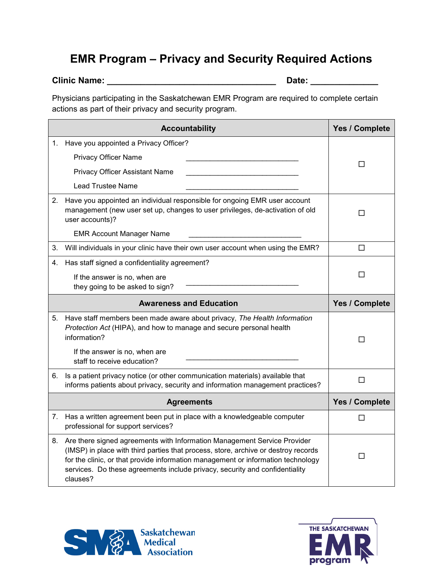## **EMR Program – Privacy and Security Required Actions**

## **Clinic Name: \_\_\_\_\_\_\_\_\_\_\_\_\_\_\_\_\_\_\_\_\_\_\_\_\_\_\_\_\_\_\_\_\_\_\_ Date: \_\_\_\_\_\_\_\_\_\_\_\_\_\_**

Physicians participating in the Saskatchewan EMR Program are required to complete certain actions as part of their privacy and security program.

|    | <b>Accountability</b>                                                                                                                                                                                                                                                                                                                         | Yes / Complete |
|----|-----------------------------------------------------------------------------------------------------------------------------------------------------------------------------------------------------------------------------------------------------------------------------------------------------------------------------------------------|----------------|
| 1. | Have you appointed a Privacy Officer?                                                                                                                                                                                                                                                                                                         |                |
|    | <b>Privacy Officer Name</b>                                                                                                                                                                                                                                                                                                                   | ப              |
|    | <b>Privacy Officer Assistant Name</b>                                                                                                                                                                                                                                                                                                         |                |
|    | <b>Lead Trustee Name</b>                                                                                                                                                                                                                                                                                                                      |                |
| 2. | Have you appointed an individual responsible for ongoing EMR user account<br>management (new user set up, changes to user privileges, de-activation of old<br>user accounts)?                                                                                                                                                                 | П              |
|    | <b>EMR Account Manager Name</b>                                                                                                                                                                                                                                                                                                               |                |
| 3. | Will individuals in your clinic have their own user account when using the EMR?                                                                                                                                                                                                                                                               | □              |
| 4. | Has staff signed a confidentiality agreement?                                                                                                                                                                                                                                                                                                 |                |
|    | If the answer is no, when are<br>they going to be asked to sign?                                                                                                                                                                                                                                                                              | П              |
|    | <b>Awareness and Education</b>                                                                                                                                                                                                                                                                                                                | Yes / Complete |
| 5. | Have staff members been made aware about privacy, The Health Information<br>Protection Act (HIPA), and how to manage and secure personal health<br>information?<br>If the answer is no, when are                                                                                                                                              | □              |
|    | staff to receive education?                                                                                                                                                                                                                                                                                                                   |                |
| 6. | Is a patient privacy notice (or other communication materials) available that<br>informs patients about privacy, security and information management practices?                                                                                                                                                                               | □              |
|    | <b>Agreements</b>                                                                                                                                                                                                                                                                                                                             | Yes / Complete |
| 7. | Has a written agreement been put in place with a knowledgeable computer<br>professional for support services?                                                                                                                                                                                                                                 | П              |
| 8. | Are there signed agreements with Information Management Service Provider<br>(IMSP) in place with third parties that process, store, archive or destroy records<br>for the clinic, or that provide information management or information technology<br>services. Do these agreements include privacy, security and confidentiality<br>clauses? | ш              |